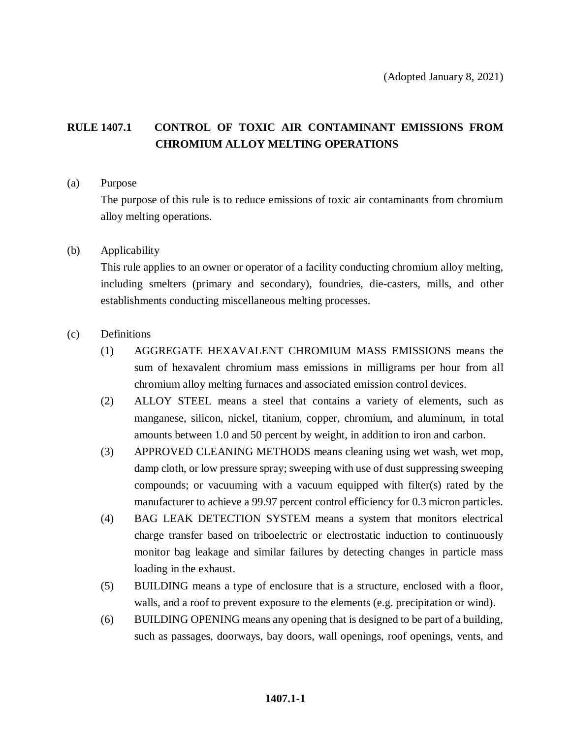# **RULE 1407.1 CONTROL OF TOXIC AIR CONTAMINANT EMISSIONS FROM CHROMIUM ALLOY MELTING OPERATIONS**

#### (a) Purpose

The purpose of this rule is to reduce emissions of toxic air contaminants from chromium alloy melting operations.

### (b) Applicability

This rule applies to an owner or operator of a facility conducting chromium alloy melting, including smelters (primary and secondary), foundries, die-casters, mills, and other establishments conducting miscellaneous melting processes.

### (c) Definitions

- (1) AGGREGATE HEXAVALENT CHROMIUM MASS EMISSIONS means the sum of hexavalent chromium mass emissions in milligrams per hour from all chromium alloy melting furnaces and associated emission control devices.
- (2) ALLOY STEEL means a steel that contains a variety of elements, such as manganese, silicon, nickel, titanium, copper, chromium, and aluminum, in total amounts between 1.0 and 50 percent by weight, in addition to iron and carbon.
- (3) APPROVED CLEANING METHODS means cleaning using wet wash, wet mop, damp cloth, or low pressure spray; sweeping with use of dust suppressing sweeping compounds; or vacuuming with a vacuum equipped with filter(s) rated by the manufacturer to achieve a 99.97 percent control efficiency for 0.3 micron particles.
- (4) BAG LEAK DETECTION SYSTEM means a system that monitors electrical charge transfer based on triboelectric or electrostatic induction to continuously monitor bag leakage and similar failures by detecting changes in particle mass loading in the exhaust.
- (5) BUILDING means a type of enclosure that is a structure, enclosed with a floor, walls, and a roof to prevent exposure to the elements (e.g. precipitation or wind).
- (6) BUILDING OPENING means any opening that is designed to be part of a building, such as passages, doorways, bay doors, wall openings, roof openings, vents, and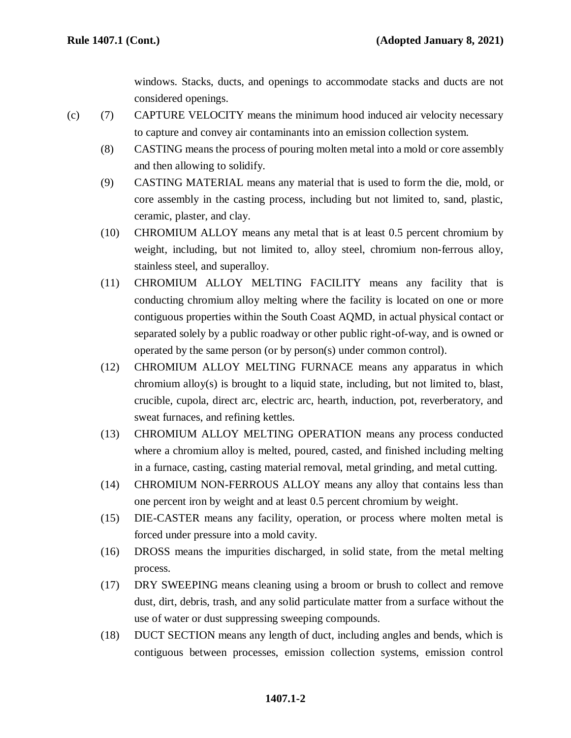windows. Stacks, ducts, and openings to accommodate stacks and ducts are not considered openings.

- (c) (7) CAPTURE VELOCITY means the minimum hood induced air velocity necessary to capture and convey air contaminants into an emission collection system.
	- (8) CASTING means the process of pouring molten metal into a mold or core assembly and then allowing to solidify.
	- (9) CASTING MATERIAL means any material that is used to form the die, mold, or core assembly in the casting process, including but not limited to, sand, plastic, ceramic, plaster, and clay.
	- (10) CHROMIUM ALLOY means any metal that is at least 0.5 percent chromium by weight, including, but not limited to, alloy steel, chromium non-ferrous alloy, stainless steel, and superalloy.
	- (11) CHROMIUM ALLOY MELTING FACILITY means any facility that is conducting chromium alloy melting where the facility is located on one or more contiguous properties within the South Coast AQMD, in actual physical contact or separated solely by a public roadway or other public right-of-way, and is owned or operated by the same person (or by person(s) under common control).
	- (12) CHROMIUM ALLOY MELTING FURNACE means any apparatus in which chromium alloy(s) is brought to a liquid state, including, but not limited to, blast, crucible, cupola, direct arc, electric arc, hearth, induction, pot, reverberatory, and sweat furnaces, and refining kettles.
	- (13) CHROMIUM ALLOY MELTING OPERATION means any process conducted where a chromium alloy is melted, poured, casted, and finished including melting in a furnace, casting, casting material removal, metal grinding, and metal cutting.
	- (14) CHROMIUM NON-FERROUS ALLOY means any alloy that contains less than one percent iron by weight and at least 0.5 percent chromium by weight.
	- (15) DIE-CASTER means any facility, operation, or process where molten metal is forced under pressure into a mold cavity.
	- (16) DROSS means the impurities discharged, in solid state, from the metal melting process.
	- (17) DRY SWEEPING means cleaning using a broom or brush to collect and remove dust, dirt, debris, trash, and any solid particulate matter from a surface without the use of water or dust suppressing sweeping compounds.
	- (18) DUCT SECTION means any length of duct, including angles and bends, which is contiguous between processes, emission collection systems, emission control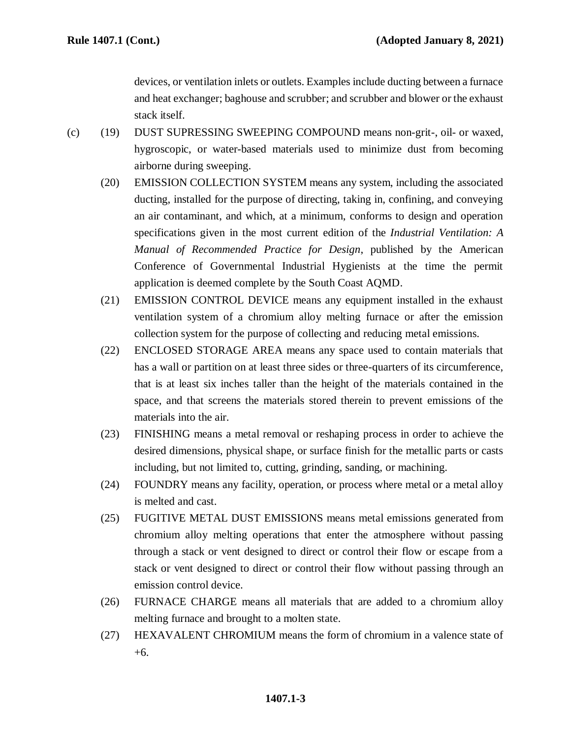devices, or ventilation inlets or outlets. Examples include ducting between a furnace and heat exchanger; baghouse and scrubber; and scrubber and blower or the exhaust stack itself.

- (c) (19) DUST SUPRESSING SWEEPING COMPOUND means non-grit-, oil- or waxed, hygroscopic, or water-based materials used to minimize dust from becoming airborne during sweeping.
	- (20) EMISSION COLLECTION SYSTEM means any system, including the associated ducting, installed for the purpose of directing, taking in, confining, and conveying an air contaminant, and which, at a minimum, conforms to design and operation specifications given in the most current edition of the *Industrial Ventilation: A Manual of Recommended Practice for Design*, published by the American Conference of Governmental Industrial Hygienists at the time the permit application is deemed complete by the South Coast AQMD.
	- (21) EMISSION CONTROL DEVICE means any equipment installed in the exhaust ventilation system of a chromium alloy melting furnace or after the emission collection system for the purpose of collecting and reducing metal emissions.
	- (22) ENCLOSED STORAGE AREA means any space used to contain materials that has a wall or partition on at least three sides or three-quarters of its circumference, that is at least six inches taller than the height of the materials contained in the space, and that screens the materials stored therein to prevent emissions of the materials into the air.
	- (23) FINISHING means a metal removal or reshaping process in order to achieve the desired dimensions, physical shape, or surface finish for the metallic parts or casts including, but not limited to, cutting, grinding, sanding, or machining.
	- (24) FOUNDRY means any facility, operation, or process where metal or a metal alloy is melted and cast.
	- (25) FUGITIVE METAL DUST EMISSIONS means metal emissions generated from chromium alloy melting operations that enter the atmosphere without passing through a stack or vent designed to direct or control their flow or escape from a stack or vent designed to direct or control their flow without passing through an emission control device.
	- (26) FURNACE CHARGE means all materials that are added to a chromium alloy melting furnace and brought to a molten state.
	- (27) HEXAVALENT CHROMIUM means the form of chromium in a valence state of +6.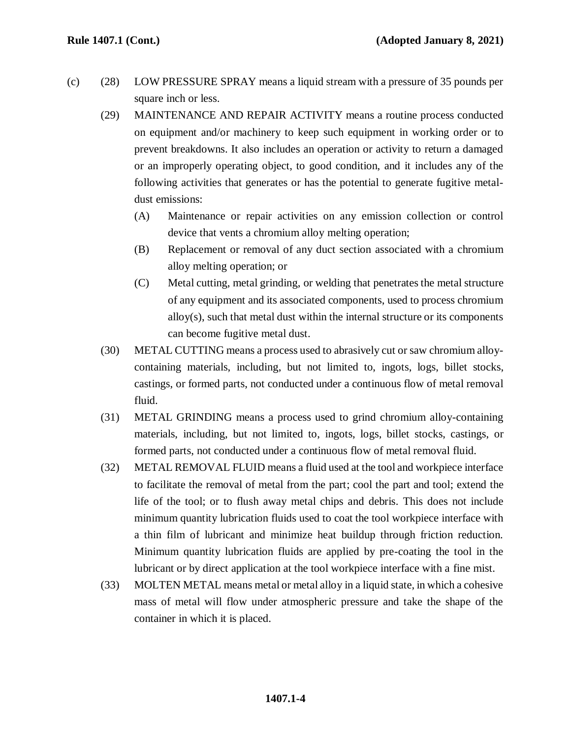- (c) (28) LOW PRESSURE SPRAY means a liquid stream with a pressure of 35 pounds per square inch or less.
	- (29) MAINTENANCE AND REPAIR ACTIVITY means a routine process conducted on equipment and/or machinery to keep such equipment in working order or to prevent breakdowns. It also includes an operation or activity to return a damaged or an improperly operating object, to good condition, and it includes any of the following activities that generates or has the potential to generate fugitive metaldust emissions:
		- (A) Maintenance or repair activities on any emission collection or control device that vents a chromium alloy melting operation;
		- (B) Replacement or removal of any duct section associated with a chromium alloy melting operation; or
		- (C) Metal cutting, metal grinding, or welding that penetrates the metal structure of any equipment and its associated components, used to process chromium alloy(s), such that metal dust within the internal structure or its components can become fugitive metal dust.
	- (30) METAL CUTTING means a process used to abrasively cut or saw chromium alloycontaining materials, including, but not limited to, ingots, logs, billet stocks, castings, or formed parts, not conducted under a continuous flow of metal removal fluid.
	- (31) METAL GRINDING means a process used to grind chromium alloy-containing materials, including, but not limited to, ingots, logs, billet stocks, castings, or formed parts, not conducted under a continuous flow of metal removal fluid.
	- (32) METAL REMOVAL FLUID means a fluid used at the tool and workpiece interface to facilitate the removal of metal from the part; cool the part and tool; extend the life of the tool; or to flush away metal chips and debris. This does not include minimum quantity lubrication fluids used to coat the tool workpiece interface with a thin film of lubricant and minimize heat buildup through friction reduction. Minimum quantity lubrication fluids are applied by pre-coating the tool in the lubricant or by direct application at the tool workpiece interface with a fine mist.
	- (33) MOLTEN METAL means metal or metal alloy in a liquid state, in which a cohesive mass of metal will flow under atmospheric pressure and take the shape of the container in which it is placed.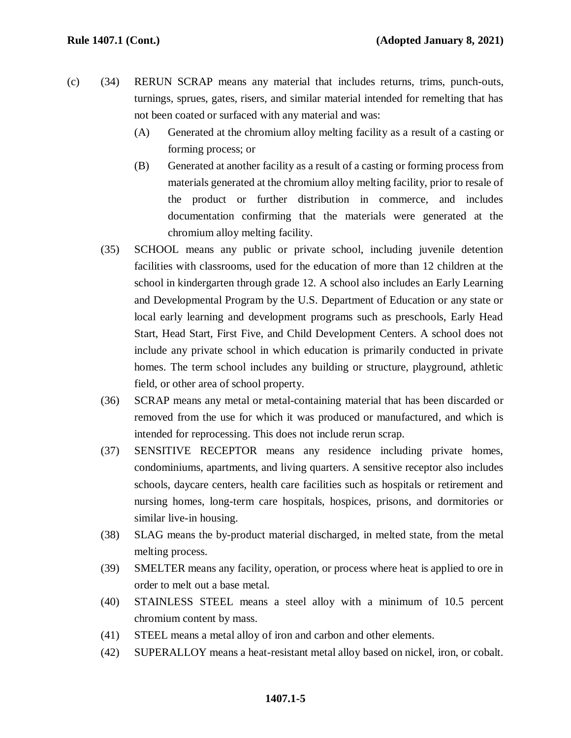- (c) (34) RERUN SCRAP means any material that includes returns, trims, punch-outs, turnings, sprues, gates, risers, and similar material intended for remelting that has not been coated or surfaced with any material and was:
	- (A) Generated at the chromium alloy melting facility as a result of a casting or forming process; or
	- (B) Generated at another facility as a result of a casting or forming process from materials generated at the chromium alloy melting facility, prior to resale of the product or further distribution in commerce, and includes documentation confirming that the materials were generated at the chromium alloy melting facility.
	- (35) SCHOOL means any public or private school, including juvenile detention facilities with classrooms, used for the education of more than 12 children at the school in kindergarten through grade 12. A school also includes an Early Learning and Developmental Program by the U.S. Department of Education or any state or local early learning and development programs such as preschools, Early Head Start, Head Start, First Five, and Child Development Centers. A school does not include any private school in which education is primarily conducted in private homes. The term school includes any building or structure, playground, athletic field, or other area of school property.
	- (36) SCRAP means any metal or metal-containing material that has been discarded or removed from the use for which it was produced or manufactured, and which is intended for reprocessing. This does not include rerun scrap.
	- (37) SENSITIVE RECEPTOR means any residence including private homes, condominiums, apartments, and living quarters. A sensitive receptor also includes schools, daycare centers, health care facilities such as hospitals or retirement and nursing homes, long-term care hospitals, hospices, prisons, and dormitories or similar live-in housing.
	- (38) SLAG means the by-product material discharged, in melted state, from the metal melting process.
	- (39) SMELTER means any facility, operation, or process where heat is applied to ore in order to melt out a base metal.
	- (40) STAINLESS STEEL means a steel alloy with a minimum of 10.5 percent chromium content by mass.
	- (41) STEEL means a metal alloy of iron and carbon and other elements.
	- (42) SUPERALLOY means a heat-resistant metal alloy based on nickel, iron, or cobalt.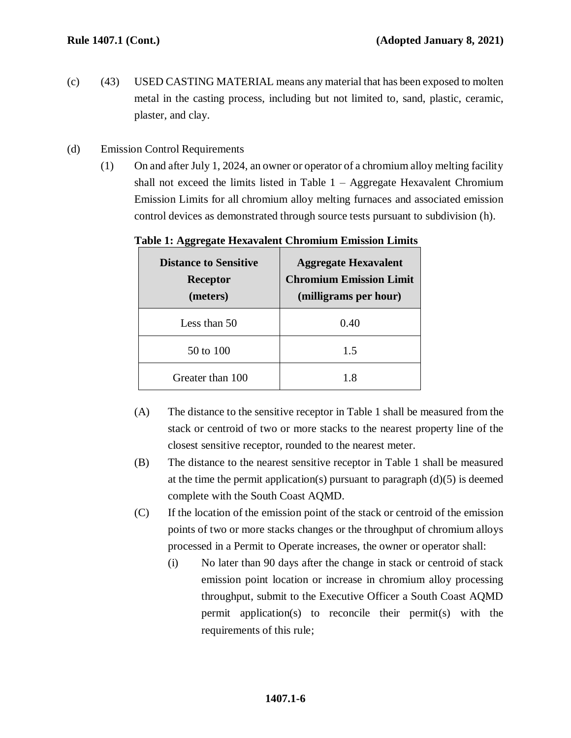- (c) (43) USED CASTING MATERIAL means any material that has been exposed to molten metal in the casting process, including but not limited to, sand, plastic, ceramic, plaster, and clay.
- (d) Emission Control Requirements
	- (1) On and after July 1, 2024, an owner or operator of a chromium alloy melting facility shall not exceed the limits listed in Table  $1 -$  Aggregate Hexavalent Chromium Emission Limits for all chromium alloy melting furnaces and associated emission control devices as demonstrated through source tests pursuant to subdivision (h).

| <b>Distance to Sensitive</b><br><b>Receptor</b><br>(meters) | <b>Aggregate Hexavalent</b><br><b>Chromium Emission Limit</b><br>(milligrams per hour) |
|-------------------------------------------------------------|----------------------------------------------------------------------------------------|
| Less than 50                                                | 0.40                                                                                   |
| 50 to 100                                                   | 1.5                                                                                    |
| Greater than 100                                            | 18                                                                                     |

**Table 1: Aggregate Hexavalent Chromium Emission Limits**

- (A) The distance to the sensitive receptor in Table 1 shall be measured from the stack or centroid of two or more stacks to the nearest property line of the closest sensitive receptor, rounded to the nearest meter.
- (B) The distance to the nearest sensitive receptor in Table 1 shall be measured at the time the permit application(s) pursuant to paragraph  $(d)(5)$  is deemed complete with the South Coast AQMD.
- (C) If the location of the emission point of the stack or centroid of the emission points of two or more stacks changes or the throughput of chromium alloys processed in a Permit to Operate increases, the owner or operator shall:
	- (i) No later than 90 days after the change in stack or centroid of stack emission point location or increase in chromium alloy processing throughput, submit to the Executive Officer a South Coast AQMD permit application(s) to reconcile their permit(s) with the requirements of this rule;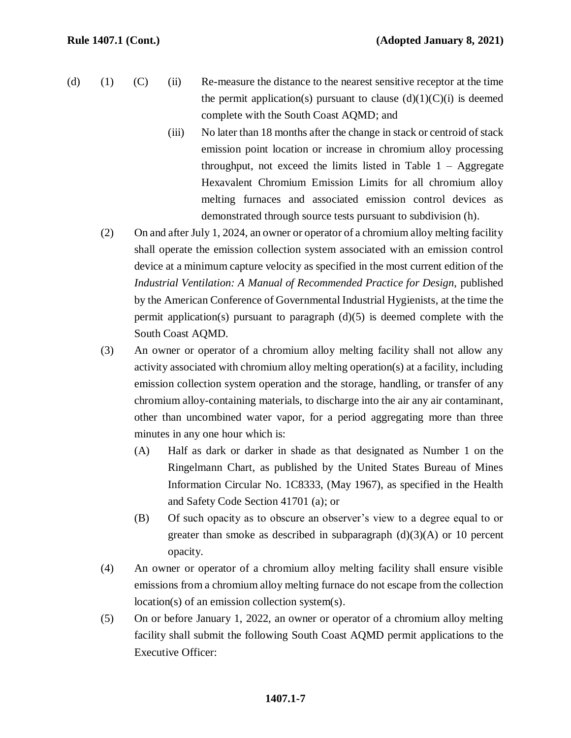- (d) (1) (C) (ii) Re-measure the distance to the nearest sensitive receptor at the time the permit application(s) pursuant to clause  $(d)(1)(C)(i)$  is deemed complete with the South Coast AQMD; and
	- (iii) No later than 18 months after the change in stack or centroid of stack emission point location or increase in chromium alloy processing throughput, not exceed the limits listed in Table  $1 - \text{Aggregate}$ Hexavalent Chromium Emission Limits for all chromium alloy melting furnaces and associated emission control devices as demonstrated through source tests pursuant to subdivision (h).
	- (2) On and after July 1, 2024, an owner or operator of a chromium alloy melting facility shall operate the emission collection system associated with an emission control device at a minimum capture velocity as specified in the most current edition of the *Industrial Ventilation: A Manual of Recommended Practice for Design,* published by the American Conference of Governmental Industrial Hygienists, at the time the permit application(s) pursuant to paragraph  $(d)(5)$  is deemed complete with the South Coast AQMD.
	- (3) An owner or operator of a chromium alloy melting facility shall not allow any activity associated with chromium alloy melting operation(s) at a facility, including emission collection system operation and the storage, handling, or transfer of any chromium alloy-containing materials, to discharge into the air any air contaminant, other than uncombined water vapor, for a period aggregating more than three minutes in any one hour which is:
		- (A) Half as dark or darker in shade as that designated as Number 1 on the Ringelmann Chart, as published by the United States Bureau of Mines Information Circular No. 1C8333, (May 1967), as specified in the Health and Safety Code Section 41701 (a); or
		- (B) Of such opacity as to obscure an observer's view to a degree equal to or greater than smoke as described in subparagraph  $(d)(3)(A)$  or 10 percent opacity.
	- (4) An owner or operator of a chromium alloy melting facility shall ensure visible emissions from a chromium alloy melting furnace do not escape from the collection location(s) of an emission collection system(s).
	- (5) On or before January 1, 2022, an owner or operator of a chromium alloy melting facility shall submit the following South Coast AQMD permit applications to the Executive Officer: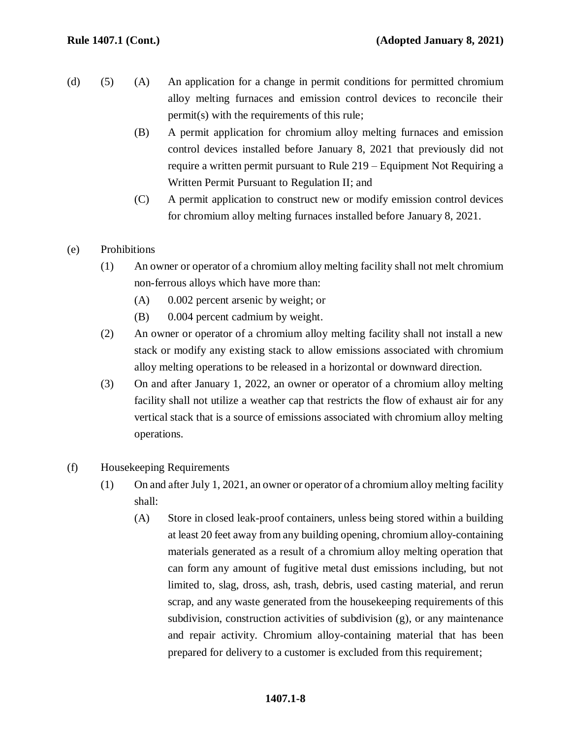- (d) (5) (A) An application for a change in permit conditions for permitted chromium alloy melting furnaces and emission control devices to reconcile their permit(s) with the requirements of this rule;
	- (B) A permit application for chromium alloy melting furnaces and emission control devices installed before January 8, 2021 that previously did not require a written permit pursuant to Rule 219 – Equipment Not Requiring a Written Permit Pursuant to Regulation II; and
	- (C) A permit application to construct new or modify emission control devices for chromium alloy melting furnaces installed before January 8, 2021.
- (e) Prohibitions
	- (1) An owner or operator of a chromium alloy melting facility shall not melt chromium non-ferrous alloys which have more than:
		- (A) 0.002 percent arsenic by weight; or
		- (B) 0.004 percent cadmium by weight.
	- (2) An owner or operator of a chromium alloy melting facility shall not install a new stack or modify any existing stack to allow emissions associated with chromium alloy melting operations to be released in a horizontal or downward direction.
	- (3) On and after January 1, 2022, an owner or operator of a chromium alloy melting facility shall not utilize a weather cap that restricts the flow of exhaust air for any vertical stack that is a source of emissions associated with chromium alloy melting operations.
- (f) Housekeeping Requirements
	- (1) On and after July 1, 2021, an owner or operator of a chromium alloy melting facility shall:
		- (A) Store in closed leak-proof containers, unless being stored within a building at least 20 feet away from any building opening, chromium alloy-containing materials generated as a result of a chromium alloy melting operation that can form any amount of fugitive metal dust emissions including, but not limited to, slag, dross, ash, trash, debris, used casting material, and rerun scrap, and any waste generated from the housekeeping requirements of this subdivision, construction activities of subdivision (g), or any maintenance and repair activity. Chromium alloy-containing material that has been prepared for delivery to a customer is excluded from this requirement;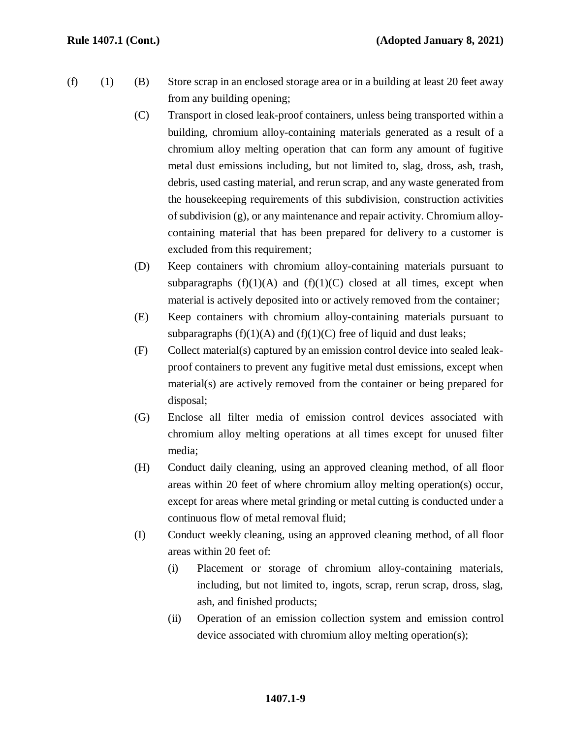- (f) (1) (B) Store scrap in an enclosed storage area or in a building at least 20 feet away from any building opening;
	- (C) Transport in closed leak-proof containers, unless being transported within a building, chromium alloy-containing materials generated as a result of a chromium alloy melting operation that can form any amount of fugitive metal dust emissions including, but not limited to, slag, dross, ash, trash, debris, used casting material, and rerun scrap, and any waste generated from the housekeeping requirements of this subdivision, construction activities of subdivision (g), or any maintenance and repair activity. Chromium alloycontaining material that has been prepared for delivery to a customer is excluded from this requirement;
	- (D) Keep containers with chromium alloy-containing materials pursuant to subparagraphs  $(f)(1)(A)$  and  $(f)(1)(C)$  closed at all times, except when material is actively deposited into or actively removed from the container;
	- (E) Keep containers with chromium alloy-containing materials pursuant to subparagraphs  $(f)(1)(A)$  and  $(f)(1)(C)$  free of liquid and dust leaks;
	- (F) Collect material(s) captured by an emission control device into sealed leakproof containers to prevent any fugitive metal dust emissions, except when material(s) are actively removed from the container or being prepared for disposal;
	- (G) Enclose all filter media of emission control devices associated with chromium alloy melting operations at all times except for unused filter media;
	- (H) Conduct daily cleaning, using an approved cleaning method, of all floor areas within 20 feet of where chromium alloy melting operation(s) occur, except for areas where metal grinding or metal cutting is conducted under a continuous flow of metal removal fluid;
	- (I) Conduct weekly cleaning, using an approved cleaning method, of all floor areas within 20 feet of:
		- (i) Placement or storage of chromium alloy-containing materials, including, but not limited to, ingots, scrap, rerun scrap, dross, slag, ash, and finished products;
		- (ii) Operation of an emission collection system and emission control device associated with chromium alloy melting operation(s);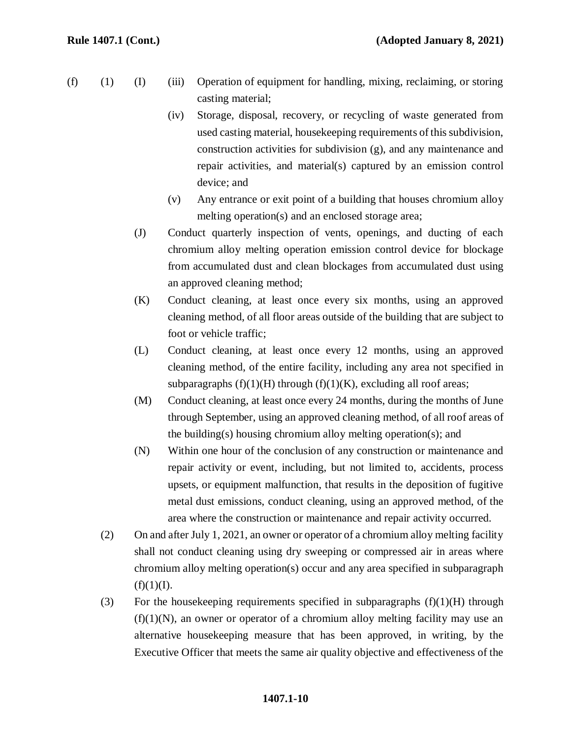- (f) (1) (I) (iii) Operation of equipment for handling, mixing, reclaiming, or storing casting material;
	- (iv) Storage, disposal, recovery, or recycling of waste generated from used casting material, housekeeping requirements of this subdivision, construction activities for subdivision (g), and any maintenance and repair activities, and material(s) captured by an emission control device; and
	- (v) Any entrance or exit point of a building that houses chromium alloy melting operation(s) and an enclosed storage area;
	- (J) Conduct quarterly inspection of vents, openings, and ducting of each chromium alloy melting operation emission control device for blockage from accumulated dust and clean blockages from accumulated dust using an approved cleaning method;
	- (K) Conduct cleaning, at least once every six months, using an approved cleaning method, of all floor areas outside of the building that are subject to foot or vehicle traffic;
	- (L) Conduct cleaning, at least once every 12 months, using an approved cleaning method, of the entire facility, including any area not specified in subparagraphs  $(f)(1)(H)$  through  $(f)(1)(K)$ , excluding all roof areas;
	- (M) Conduct cleaning, at least once every 24 months, during the months of June through September, using an approved cleaning method, of all roof areas of the building(s) housing chromium alloy melting operation(s); and
	- (N) Within one hour of the conclusion of any construction or maintenance and repair activity or event, including, but not limited to, accidents, process upsets, or equipment malfunction, that results in the deposition of fugitive metal dust emissions, conduct cleaning, using an approved method, of the area where the construction or maintenance and repair activity occurred.
	- (2) On and after July 1, 2021, an owner or operator of a chromium alloy melting facility shall not conduct cleaning using dry sweeping or compressed air in areas where chromium alloy melting operation(s) occur and any area specified in subparagraph  $(f)(1)(I).$
	- (3) For the house keeping requirements specified in subparagraphs  $(f)(1)(H)$  through  $(f)(1)(N)$ , an owner or operator of a chromium alloy melting facility may use an alternative housekeeping measure that has been approved, in writing, by the Executive Officer that meets the same air quality objective and effectiveness of the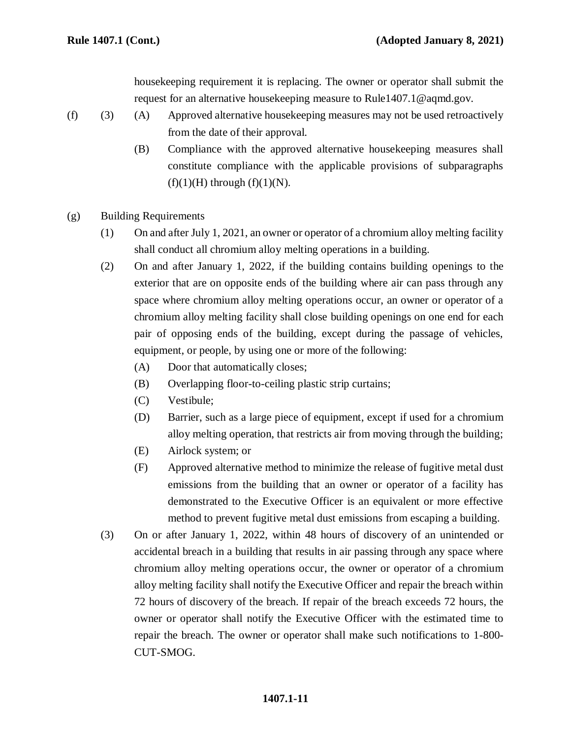housekeeping requirement it is replacing. The owner or operator shall submit the request for an alternative housekeeping measure to Rule1407.1@aqmd.gov.

- (f) (3) (A) Approved alternative housekeeping measures may not be used retroactively from the date of their approval.
	- (B) Compliance with the approved alternative housekeeping measures shall constitute compliance with the applicable provisions of subparagraphs  $(f)(1)(H)$  through  $(f)(1)(N)$ .
- (g) Building Requirements
	- (1) On and after July 1, 2021, an owner or operator of a chromium alloy melting facility shall conduct all chromium alloy melting operations in a building.
	- (2) On and after January 1, 2022, if the building contains building openings to the exterior that are on opposite ends of the building where air can pass through any space where chromium alloy melting operations occur, an owner or operator of a chromium alloy melting facility shall close building openings on one end for each pair of opposing ends of the building, except during the passage of vehicles, equipment, or people, by using one or more of the following:
		- (A) Door that automatically closes;
		- (B) Overlapping floor-to-ceiling plastic strip curtains;
		- (C) Vestibule;
		- (D) Barrier, such as a large piece of equipment, except if used for a chromium alloy melting operation, that restricts air from moving through the building;
		- (E) Airlock system; or
		- (F) Approved alternative method to minimize the release of fugitive metal dust emissions from the building that an owner or operator of a facility has demonstrated to the Executive Officer is an equivalent or more effective method to prevent fugitive metal dust emissions from escaping a building.
	- (3) On or after January 1, 2022, within 48 hours of discovery of an unintended or accidental breach in a building that results in air passing through any space where chromium alloy melting operations occur, the owner or operator of a chromium alloy melting facility shall notify the Executive Officer and repair the breach within 72 hours of discovery of the breach. If repair of the breach exceeds 72 hours, the owner or operator shall notify the Executive Officer with the estimated time to repair the breach. The owner or operator shall make such notifications to 1-800- CUT-SMOG.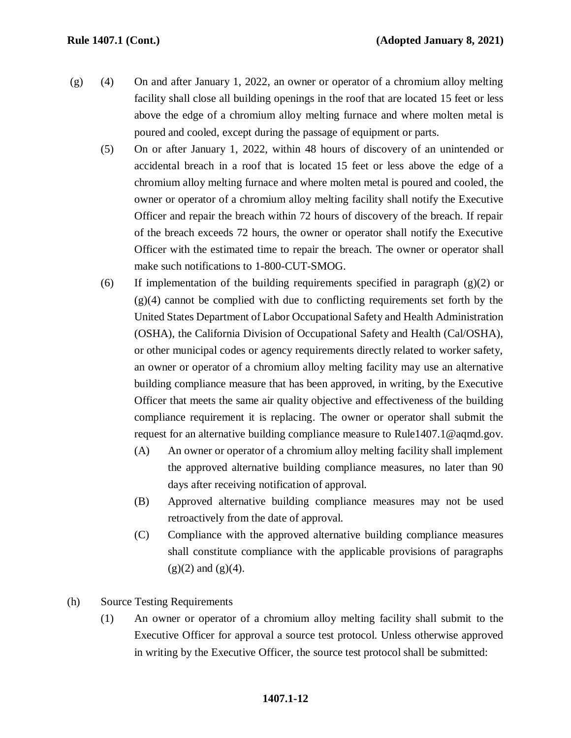- (g) (4) On and after January 1, 2022, an owner or operator of a chromium alloy melting facility shall close all building openings in the roof that are located 15 feet or less above the edge of a chromium alloy melting furnace and where molten metal is poured and cooled, except during the passage of equipment or parts.
	- (5) On or after January 1, 2022, within 48 hours of discovery of an unintended or accidental breach in a roof that is located 15 feet or less above the edge of a chromium alloy melting furnace and where molten metal is poured and cooled, the owner or operator of a chromium alloy melting facility shall notify the Executive Officer and repair the breach within 72 hours of discovery of the breach. If repair of the breach exceeds 72 hours, the owner or operator shall notify the Executive Officer with the estimated time to repair the breach. The owner or operator shall make such notifications to 1-800-CUT-SMOG.
	- (6) If implementation of the building requirements specified in paragraph  $(g)(2)$  or  $(g)(4)$  cannot be complied with due to conflicting requirements set forth by the United States Department of Labor Occupational Safety and Health Administration (OSHA), the California Division of Occupational Safety and Health (Cal/OSHA), or other municipal codes or agency requirements directly related to worker safety, an owner or operator of a chromium alloy melting facility may use an alternative building compliance measure that has been approved, in writing, by the Executive Officer that meets the same air quality objective and effectiveness of the building compliance requirement it is replacing. The owner or operator shall submit the request for an alternative building compliance measure to Rule1407.1@aqmd.gov.
		- (A) An owner or operator of a chromium alloy melting facility shall implement the approved alternative building compliance measures, no later than 90 days after receiving notification of approval.
		- (B) Approved alternative building compliance measures may not be used retroactively from the date of approval.
		- (C) Compliance with the approved alternative building compliance measures shall constitute compliance with the applicable provisions of paragraphs  $(g)(2)$  and  $(g)(4)$ .
- (h) Source Testing Requirements
	- (1) An owner or operator of a chromium alloy melting facility shall submit to the Executive Officer for approval a source test protocol. Unless otherwise approved in writing by the Executive Officer, the source test protocol shall be submitted: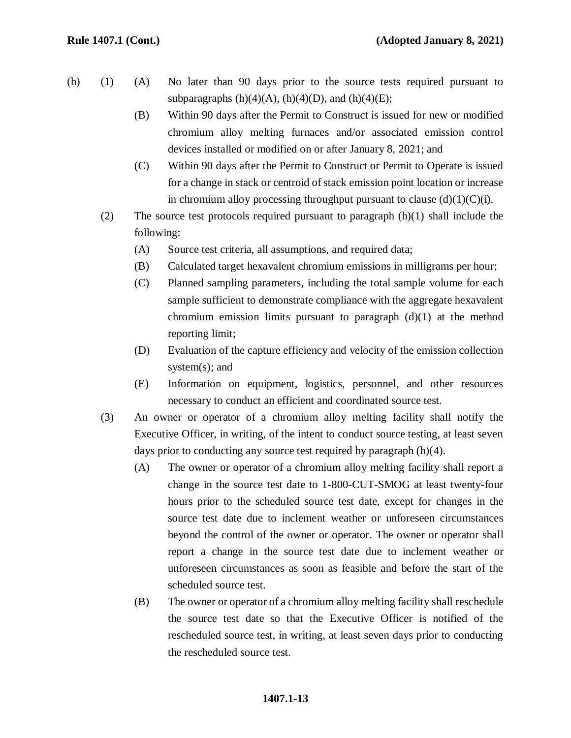- (h) (1) (A) No later than 90 days prior to the source tests required pursuant to subparagraphs  $(h)(4)(A)$ ,  $(h)(4)(D)$ , and  $(h)(4)(E)$ ;
	- (B) Within 90 days after the Permit to Construct is issued for new or modified chromium alloy melting furnaces and/or associated emission control devices installed or modified on or after January 8, 2021; and
	- (C) Within 90 days after the Permit to Construct or Permit to Operate is issued for a change in stack or centroid of stack emission point location or increase in chromium alloy processing throughput pursuant to clause  $(d)(1)(C)(i)$ .
	- (2) The source test protocols required pursuant to paragraph (h)(1) shall include the following:
		- (A) Source test criteria, all assumptions, and required data;
		- (B) Calculated target hexavalent chromium emissions in milligrams per hour;
		- (C) Planned sampling parameters, including the total sample volume for each sample sufficient to demonstrate compliance with the aggregate hexavalent chromium emission limits pursuant to paragraph  $(d)(1)$  at the method reporting limit;
		- (D) Evaluation of the capture efficiency and velocity of the emission collection system(s); and
		- (E) Information on equipment, logistics, personnel, and other resources necessary to conduct an efficient and coordinated source test.
	- (3) An owner or operator of a chromium alloy melting facility shall notify the Executive Officer, in writing, of the intent to conduct source testing, at least seven days prior to conducting any source test required by paragraph (h)(4).
		- (A) The owner or operator of a chromium alloy melting facility shall report a change in the source test date to 1-800-CUT-SMOG at least twenty-four hours prior to the scheduled source test date, except for changes in the source test date due to inclement weather or unforeseen circumstances beyond the control of the owner or operator. The owner or operator shall report a change in the source test date due to inclement weather or unforeseen circumstances as soon as feasible and before the start of the scheduled source test.
		- (B) The owner or operator of a chromium alloy melting facility shall reschedule the source test date so that the Executive Officer is notified of the rescheduled source test, in writing, at least seven days prior to conducting the rescheduled source test.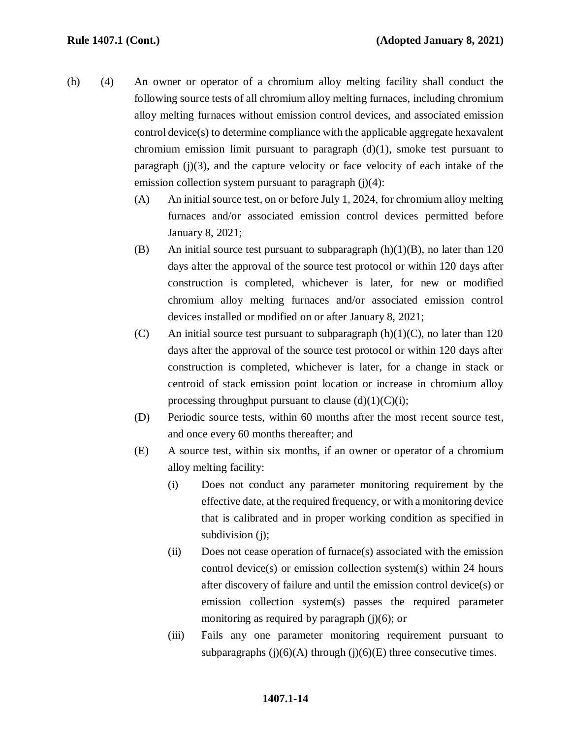- (h) (4) An owner or operator of a chromium alloy melting facility shall conduct the following source tests of all chromium alloy melting furnaces, including chromium alloy melting furnaces without emission control devices, and associated emission control device(s) to determine compliance with the applicable aggregate hexavalent chromium emission limit pursuant to paragraph  $(d)(1)$ , smoke test pursuant to paragraph (j)(3), and the capture velocity or face velocity of each intake of the emission collection system pursuant to paragraph  $(i)(4)$ :
	- (A) An initial source test, on or before July 1, 2024, for chromium alloy melting furnaces and/or associated emission control devices permitted before January 8, 2021;
	- (B) An initial source test pursuant to subparagraph  $(h)(1)(B)$ , no later than 120 days after the approval of the source test protocol or within 120 days after construction is completed, whichever is later, for new or modified chromium alloy melting furnaces and/or associated emission control devices installed or modified on or after January 8, 2021;
	- (C) An initial source test pursuant to subparagraph  $(h)(1)(C)$ , no later than 120 days after the approval of the source test protocol or within 120 days after construction is completed, whichever is later, for a change in stack or centroid of stack emission point location or increase in chromium alloy processing throughput pursuant to clause  $(d)(1)(C)(i)$ ;
	- (D) Periodic source tests, within 60 months after the most recent source test, and once every 60 months thereafter; and
	- (E) A source test, within six months, if an owner or operator of a chromium alloy melting facility:
		- (i) Does not conduct any parameter monitoring requirement by the effective date, at the required frequency, or with a monitoring device that is calibrated and in proper working condition as specified in subdivision (j);
		- (ii) Does not cease operation of furnace(s) associated with the emission control device(s) or emission collection system(s) within 24 hours after discovery of failure and until the emission control device(s) or emission collection system(s) passes the required parameter monitoring as required by paragraph  $(j)(6)$ ; or
		- (iii) Fails any one parameter monitoring requirement pursuant to subparagraphs  $(j)(6)(A)$  through  $(j)(6)(E)$  three consecutive times.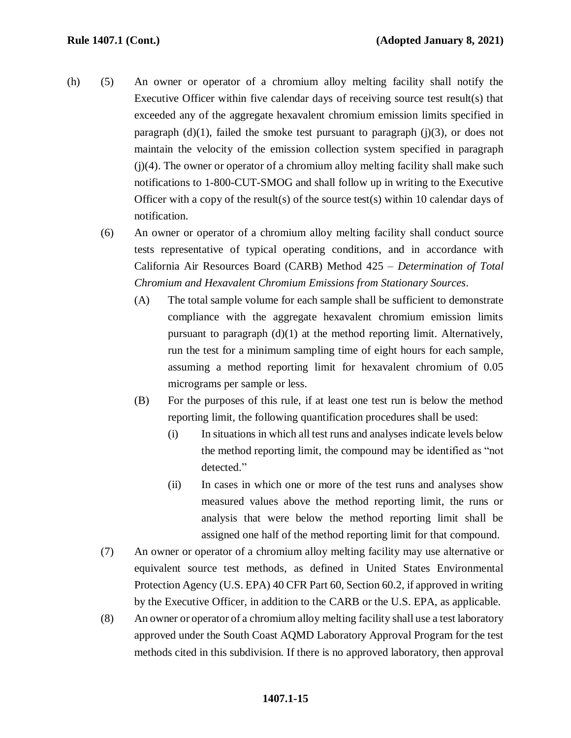- (h) (5) An owner or operator of a chromium alloy melting facility shall notify the Executive Officer within five calendar days of receiving source test result(s) that exceeded any of the aggregate hexavalent chromium emission limits specified in paragraph  $(d)(1)$ , failed the smoke test pursuant to paragraph  $(j)(3)$ , or does not maintain the velocity of the emission collection system specified in paragraph  $(i)(4)$ . The owner or operator of a chromium alloy melting facility shall make such notifications to 1-800-CUT-SMOG and shall follow up in writing to the Executive Officer with a copy of the result(s) of the source test(s) within 10 calendar days of notification.
	- (6) An owner or operator of a chromium alloy melting facility shall conduct source tests representative of typical operating conditions, and in accordance with California Air Resources Board (CARB) Method 425 – *Determination of Total Chromium and Hexavalent Chromium Emissions from Stationary Sources*.
		- (A) The total sample volume for each sample shall be sufficient to demonstrate compliance with the aggregate hexavalent chromium emission limits pursuant to paragraph (d)(1) at the method reporting limit. Alternatively, run the test for a minimum sampling time of eight hours for each sample, assuming a method reporting limit for hexavalent chromium of 0.05 micrograms per sample or less.
		- (B) For the purposes of this rule, if at least one test run is below the method reporting limit, the following quantification procedures shall be used:
			- (i) In situations in which all test runs and analyses indicate levels below the method reporting limit, the compound may be identified as "not detected."
			- (ii) In cases in which one or more of the test runs and analyses show measured values above the method reporting limit, the runs or analysis that were below the method reporting limit shall be assigned one half of the method reporting limit for that compound.
	- (7) An owner or operator of a chromium alloy melting facility may use alternative or equivalent source test methods, as defined in United States Environmental Protection Agency (U.S. EPA) 40 CFR Part 60, Section 60.2, if approved in writing by the Executive Officer, in addition to the CARB or the U.S. EPA, as applicable.
	- (8) An owner or operator of a chromium alloy melting facility shall use a test laboratory approved under the South Coast AQMD Laboratory Approval Program for the test methods cited in this subdivision. If there is no approved laboratory, then approval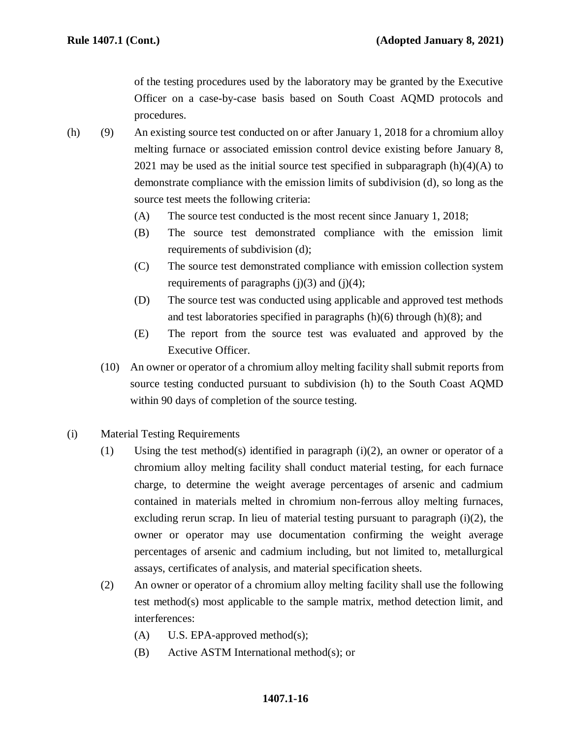of the testing procedures used by the laboratory may be granted by the Executive Officer on a case-by-case basis based on South Coast AQMD protocols and procedures.

- (h) (9) An existing source test conducted on or after January 1, 2018 for a chromium alloy melting furnace or associated emission control device existing before January 8, 2021 may be used as the initial source test specified in subparagraph  $(h)(4)(A)$  to demonstrate compliance with the emission limits of subdivision (d), so long as the source test meets the following criteria:
	- (A) The source test conducted is the most recent since January 1, 2018;
	- (B) The source test demonstrated compliance with the emission limit requirements of subdivision (d);
	- (C) The source test demonstrated compliance with emission collection system requirements of paragraphs  $(i)(3)$  and  $(i)(4)$ ;
	- (D) The source test was conducted using applicable and approved test methods and test laboratories specified in paragraphs  $(h)(6)$  through  $(h)(8)$ ; and
	- (E) The report from the source test was evaluated and approved by the Executive Officer.
	- (10) An owner or operator of a chromium alloy melting facility shall submit reports from source testing conducted pursuant to subdivision (h) to the South Coast AQMD within 90 days of completion of the source testing.
- (i) Material Testing Requirements
	- (1) Using the test method(s) identified in paragraph (i)(2), an owner or operator of a chromium alloy melting facility shall conduct material testing, for each furnace charge, to determine the weight average percentages of arsenic and cadmium contained in materials melted in chromium non-ferrous alloy melting furnaces, excluding rerun scrap. In lieu of material testing pursuant to paragraph (i)(2), the owner or operator may use documentation confirming the weight average percentages of arsenic and cadmium including, but not limited to, metallurgical assays, certificates of analysis, and material specification sheets.
	- (2) An owner or operator of a chromium alloy melting facility shall use the following test method(s) most applicable to the sample matrix, method detection limit, and interferences:
		- (A) U.S. EPA-approved method(s);
		- (B) Active ASTM International method(s); or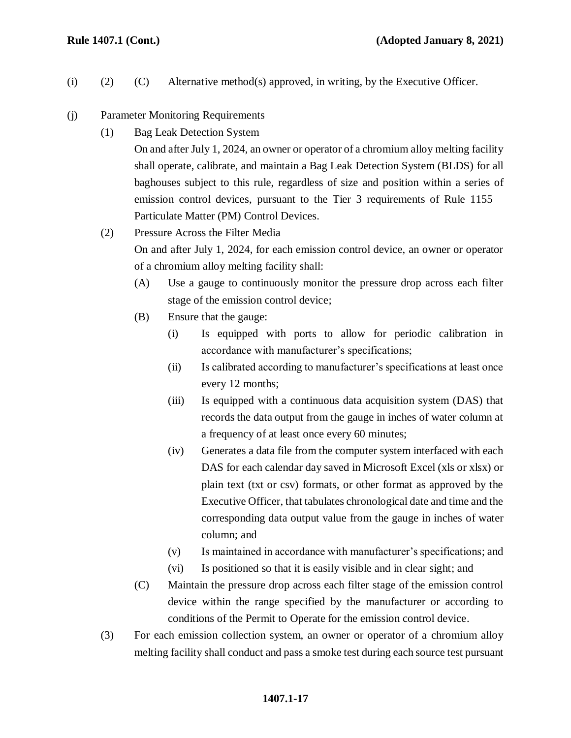- (i) (2) (C) Alternative method(s) approved, in writing, by the Executive Officer.
- (j) Parameter Monitoring Requirements
	- (1) Bag Leak Detection System

On and after July 1, 2024, an owner or operator of a chromium alloy melting facility shall operate, calibrate, and maintain a Bag Leak Detection System (BLDS) for all baghouses subject to this rule, regardless of size and position within a series of emission control devices, pursuant to the Tier 3 requirements of Rule 1155 – Particulate Matter (PM) Control Devices.

(2) Pressure Across the Filter Media

On and after July 1, 2024, for each emission control device, an owner or operator of a chromium alloy melting facility shall:

- (A) Use a gauge to continuously monitor the pressure drop across each filter stage of the emission control device;
- (B) Ensure that the gauge:
	- (i) Is equipped with ports to allow for periodic calibration in accordance with manufacturer's specifications;
	- (ii) Is calibrated according to manufacturer's specifications at least once every 12 months;
	- (iii) Is equipped with a continuous data acquisition system (DAS) that records the data output from the gauge in inches of water column at a frequency of at least once every 60 minutes;
	- (iv) Generates a data file from the computer system interfaced with each DAS for each calendar day saved in Microsoft Excel (xls or xlsx) or plain text (txt or csv) formats, or other format as approved by the Executive Officer, that tabulates chronological date and time and the corresponding data output value from the gauge in inches of water column; and
	- (v) Is maintained in accordance with manufacturer's specifications; and
	- (vi) Is positioned so that it is easily visible and in clear sight; and
- (C) Maintain the pressure drop across each filter stage of the emission control device within the range specified by the manufacturer or according to conditions of the Permit to Operate for the emission control device.
- (3) For each emission collection system, an owner or operator of a chromium alloy melting facility shall conduct and pass a smoke test during each source test pursuant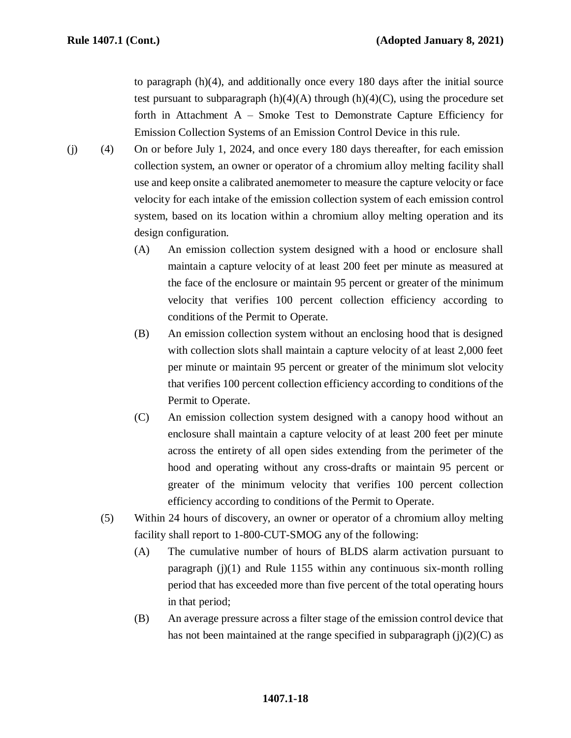to paragraph (h)(4), and additionally once every 180 days after the initial source test pursuant to subparagraph  $(h)(4)(A)$  through  $(h)(4)(C)$ , using the procedure set forth in Attachment  $A -$  Smoke Test to Demonstrate Capture Efficiency for Emission Collection Systems of an Emission Control Device in this rule.

- (j) (4) On or before July 1, 2024, and once every 180 days thereafter, for each emission collection system, an owner or operator of a chromium alloy melting facility shall use and keep onsite a calibrated anemometer to measure the capture velocity or face velocity for each intake of the emission collection system of each emission control system, based on its location within a chromium alloy melting operation and its design configuration.
	- (A) An emission collection system designed with a hood or enclosure shall maintain a capture velocity of at least 200 feet per minute as measured at the face of the enclosure or maintain 95 percent or greater of the minimum velocity that verifies 100 percent collection efficiency according to conditions of the Permit to Operate.
	- (B) An emission collection system without an enclosing hood that is designed with collection slots shall maintain a capture velocity of at least 2,000 feet per minute or maintain 95 percent or greater of the minimum slot velocity that verifies 100 percent collection efficiency according to conditions of the Permit to Operate.
	- (C) An emission collection system designed with a canopy hood without an enclosure shall maintain a capture velocity of at least 200 feet per minute across the entirety of all open sides extending from the perimeter of the hood and operating without any cross-drafts or maintain 95 percent or greater of the minimum velocity that verifies 100 percent collection efficiency according to conditions of the Permit to Operate.
	- (5) Within 24 hours of discovery, an owner or operator of a chromium alloy melting facility shall report to 1-800-CUT-SMOG any of the following:
		- (A) The cumulative number of hours of BLDS alarm activation pursuant to paragraph  $(j)(1)$  and Rule 1155 within any continuous six-month rolling period that has exceeded more than five percent of the total operating hours in that period;
		- (B) An average pressure across a filter stage of the emission control device that has not been maintained at the range specified in subparagraph  $(i)(2)(C)$  as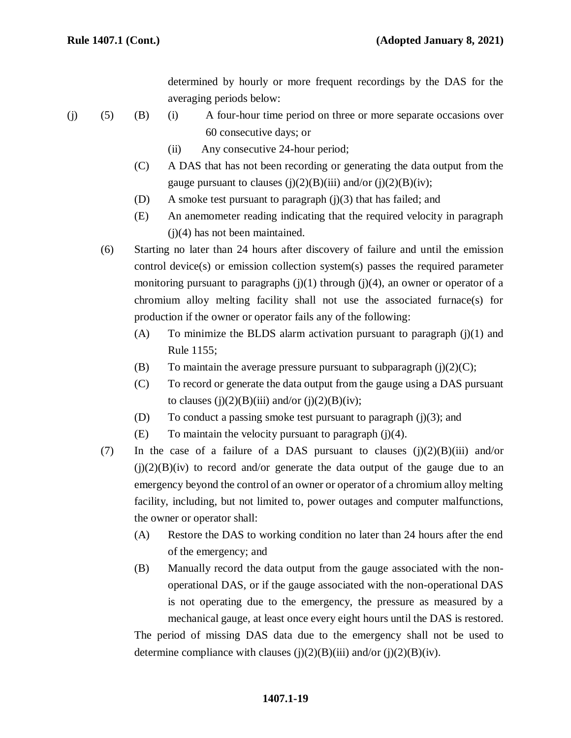determined by hourly or more frequent recordings by the DAS for the averaging periods below:

- (j) (5) (B) (i) A four-hour time period on three or more separate occasions over 60 consecutive days; or
	- (ii) Any consecutive 24-hour period;
	- (C) A DAS that has not been recording or generating the data output from the gauge pursuant to clauses  $(j)(2)(B)(iii)$  and/or  $(j)(2)(B)(iv)$ ;
	- (D) A smoke test pursuant to paragraph (j)(3) that has failed; and
	- (E) An anemometer reading indicating that the required velocity in paragraph (j)(4) has not been maintained.
	- (6) Starting no later than 24 hours after discovery of failure and until the emission control device(s) or emission collection system(s) passes the required parameter monitoring pursuant to paragraphs  $(j)(1)$  through  $(j)(4)$ , an owner or operator of a chromium alloy melting facility shall not use the associated furnace(s) for production if the owner or operator fails any of the following:
		- (A) To minimize the BLDS alarm activation pursuant to paragraph  $(j)(1)$  and Rule 1155;
		- (B) To maintain the average pressure pursuant to subparagraph  $(i)(2)(C)$ ;
		- (C) To record or generate the data output from the gauge using a DAS pursuant to clauses (j) $(2)(B)$ (iii) and/or (j) $(2)(B)$ (iv);
		- (D) To conduct a passing smoke test pursuant to paragraph (j)(3); and
		- (E) To maintain the velocity pursuant to paragraph  $(j)(4)$ .
	- (7) In the case of a failure of a DAS pursuant to clauses  $(j)(2)(B)(iii)$  and/or  $(j)(2)(B)(iv)$  to record and/or generate the data output of the gauge due to an emergency beyond the control of an owner or operator of a chromium alloy melting facility, including, but not limited to, power outages and computer malfunctions, the owner or operator shall:
		- (A) Restore the DAS to working condition no later than 24 hours after the end of the emergency; and
		- (B) Manually record the data output from the gauge associated with the nonoperational DAS, or if the gauge associated with the non-operational DAS is not operating due to the emergency, the pressure as measured by a mechanical gauge, at least once every eight hours until the DAS is restored.

The period of missing DAS data due to the emergency shall not be used to determine compliance with clauses (j)(2)(B)(iii) and/or (j)(2)(B)(iv).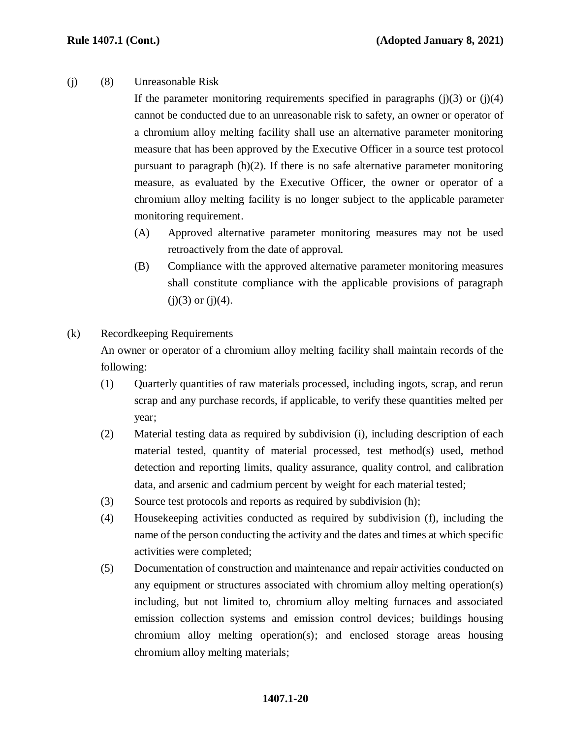(j) (8) Unreasonable Risk

If the parameter monitoring requirements specified in paragraphs  $(i)(3)$  or  $(i)(4)$ cannot be conducted due to an unreasonable risk to safety, an owner or operator of a chromium alloy melting facility shall use an alternative parameter monitoring measure that has been approved by the Executive Officer in a source test protocol pursuant to paragraph  $(h)(2)$ . If there is no safe alternative parameter monitoring measure, as evaluated by the Executive Officer, the owner or operator of a chromium alloy melting facility is no longer subject to the applicable parameter monitoring requirement.

- (A) Approved alternative parameter monitoring measures may not be used retroactively from the date of approval.
- (B) Compliance with the approved alternative parameter monitoring measures shall constitute compliance with the applicable provisions of paragraph  $(i)(3)$  or  $(i)(4)$ .
- (k) Recordkeeping Requirements

An owner or operator of a chromium alloy melting facility shall maintain records of the following:

- (1) Quarterly quantities of raw materials processed, including ingots, scrap, and rerun scrap and any purchase records, if applicable, to verify these quantities melted per year;
- (2) Material testing data as required by subdivision (i), including description of each material tested, quantity of material processed, test method(s) used, method detection and reporting limits, quality assurance, quality control, and calibration data, and arsenic and cadmium percent by weight for each material tested;
- (3) Source test protocols and reports as required by subdivision (h);
- (4) Housekeeping activities conducted as required by subdivision (f), including the name of the person conducting the activity and the dates and times at which specific activities were completed;
- (5) Documentation of construction and maintenance and repair activities conducted on any equipment or structures associated with chromium alloy melting operation(s) including, but not limited to, chromium alloy melting furnaces and associated emission collection systems and emission control devices; buildings housing chromium alloy melting operation(s); and enclosed storage areas housing chromium alloy melting materials;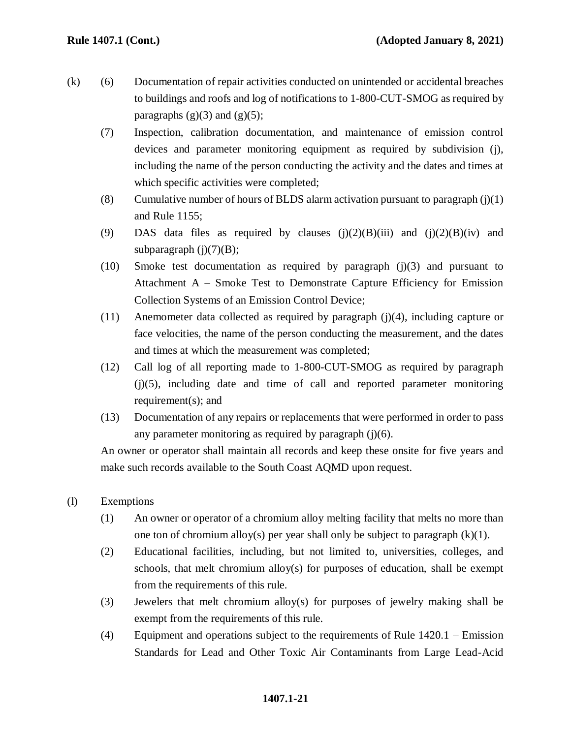- (k) (6) Documentation of repair activities conducted on unintended or accidental breaches to buildings and roofs and log of notifications to 1-800-CUT-SMOG as required by paragraphs  $(g)(3)$  and  $(g)(5)$ ;
	- (7) Inspection, calibration documentation, and maintenance of emission control devices and parameter monitoring equipment as required by subdivision (j), including the name of the person conducting the activity and the dates and times at which specific activities were completed;
	- (8) Cumulative number of hours of BLDS alarm activation pursuant to paragraph  $(j)(1)$ and Rule 1155;
	- (9) DAS data files as required by clauses  $(i)(2)(B)(iii)$  and  $(i)(2)(B)(iv)$  and subparagraph  $(i)(7)(B)$ ;
	- (10) Smoke test documentation as required by paragraph (j)(3) and pursuant to Attachment A – Smoke Test to Demonstrate Capture Efficiency for Emission Collection Systems of an Emission Control Device;
	- (11) Anemometer data collected as required by paragraph (j)(4), including capture or face velocities, the name of the person conducting the measurement, and the dates and times at which the measurement was completed;
	- (12) Call log of all reporting made to 1-800-CUT-SMOG as required by paragraph  $(i)(5)$ , including date and time of call and reported parameter monitoring requirement(s); and
	- (13) Documentation of any repairs or replacements that were performed in order to pass any parameter monitoring as required by paragraph  $(j)(6)$ .

An owner or operator shall maintain all records and keep these onsite for five years and make such records available to the South Coast AQMD upon request.

- (l) Exemptions
	- (1) An owner or operator of a chromium alloy melting facility that melts no more than one ton of chromium alloy(s) per year shall only be subject to paragraph  $(k)(1)$ .
	- (2) Educational facilities, including, but not limited to, universities, colleges, and schools, that melt chromium alloy(s) for purposes of education, shall be exempt from the requirements of this rule.
	- (3) Jewelers that melt chromium alloy(s) for purposes of jewelry making shall be exempt from the requirements of this rule.
	- (4) Equipment and operations subject to the requirements of Rule 1420.1 Emission Standards for Lead and Other Toxic Air Contaminants from Large Lead-Acid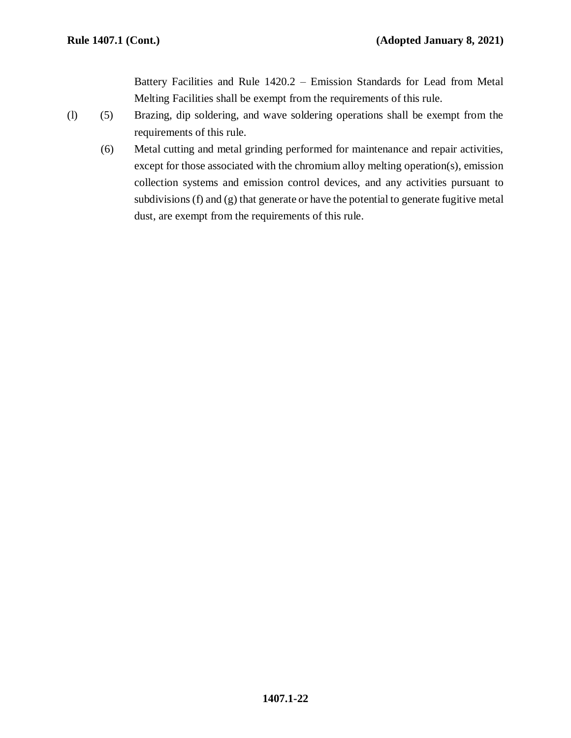Battery Facilities and Rule 1420.2 – Emission Standards for Lead from Metal Melting Facilities shall be exempt from the requirements of this rule.

- (l) (5) Brazing, dip soldering, and wave soldering operations shall be exempt from the requirements of this rule.
	- (6) Metal cutting and metal grinding performed for maintenance and repair activities, except for those associated with the chromium alloy melting operation(s), emission collection systems and emission control devices, and any activities pursuant to subdivisions (f) and (g) that generate or have the potential to generate fugitive metal dust, are exempt from the requirements of this rule.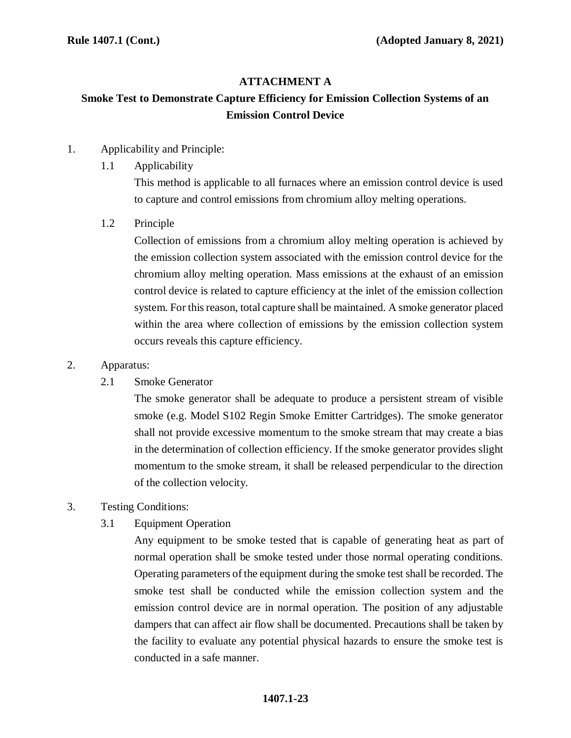# **ATTACHMENT A**

# **Smoke Test to Demonstrate Capture Efficiency for Emission Collection Systems of an Emission Control Device**

- 1. Applicability and Principle:
	- 1.1 Applicability

This method is applicable to all furnaces where an emission control device is used to capture and control emissions from chromium alloy melting operations.

1.2 Principle

Collection of emissions from a chromium alloy melting operation is achieved by the emission collection system associated with the emission control device for the chromium alloy melting operation. Mass emissions at the exhaust of an emission control device is related to capture efficiency at the inlet of the emission collection system. For this reason, total capture shall be maintained. A smoke generator placed within the area where collection of emissions by the emission collection system occurs reveals this capture efficiency.

## 2. Apparatus:

2.1 Smoke Generator

The smoke generator shall be adequate to produce a persistent stream of visible smoke (e.g. Model S102 Regin Smoke Emitter Cartridges). The smoke generator shall not provide excessive momentum to the smoke stream that may create a bias in the determination of collection efficiency. If the smoke generator provides slight momentum to the smoke stream, it shall be released perpendicular to the direction of the collection velocity.

- 3. Testing Conditions:
	- 3.1 Equipment Operation

Any equipment to be smoke tested that is capable of generating heat as part of normal operation shall be smoke tested under those normal operating conditions. Operating parameters of the equipment during the smoke test shall be recorded. The smoke test shall be conducted while the emission collection system and the emission control device are in normal operation. The position of any adjustable dampers that can affect air flow shall be documented. Precautions shall be taken by the facility to evaluate any potential physical hazards to ensure the smoke test is conducted in a safe manner.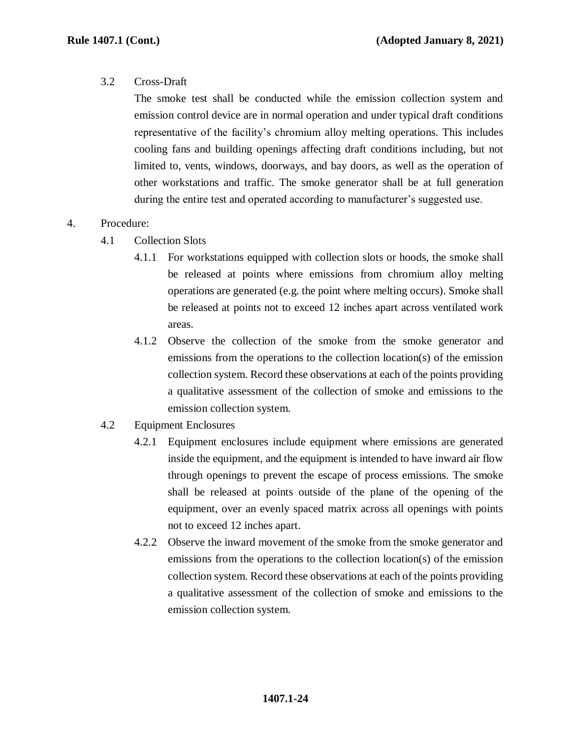## 3.2 Cross-Draft

The smoke test shall be conducted while the emission collection system and emission control device are in normal operation and under typical draft conditions representative of the facility's chromium alloy melting operations. This includes cooling fans and building openings affecting draft conditions including, but not limited to, vents, windows, doorways, and bay doors, as well as the operation of other workstations and traffic. The smoke generator shall be at full generation during the entire test and operated according to manufacturer's suggested use.

# 4. Procedure:

- 4.1 Collection Slots
	- 4.1.1 For workstations equipped with collection slots or hoods, the smoke shall be released at points where emissions from chromium alloy melting operations are generated (e.g. the point where melting occurs). Smoke shall be released at points not to exceed 12 inches apart across ventilated work areas.
	- 4.1.2 Observe the collection of the smoke from the smoke generator and emissions from the operations to the collection location(s) of the emission collection system. Record these observations at each of the points providing a qualitative assessment of the collection of smoke and emissions to the emission collection system.
- 4.2 Equipment Enclosures
	- 4.2.1 Equipment enclosures include equipment where emissions are generated inside the equipment, and the equipment is intended to have inward air flow through openings to prevent the escape of process emissions. The smoke shall be released at points outside of the plane of the opening of the equipment, over an evenly spaced matrix across all openings with points not to exceed 12 inches apart.
	- 4.2.2 Observe the inward movement of the smoke from the smoke generator and emissions from the operations to the collection location(s) of the emission collection system. Record these observations at each of the points providing a qualitative assessment of the collection of smoke and emissions to the emission collection system.